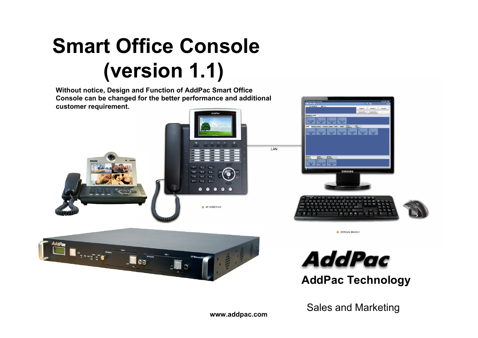## **Smart Office Console(version 1.1)**

**Without notice, Design and Function of AddPac Smart Office Console can be changed for the better performance and additional customer requirement.** 











**AddPac** 

**AddPac Technology**

Sales and Marketing

**www.addpac.com**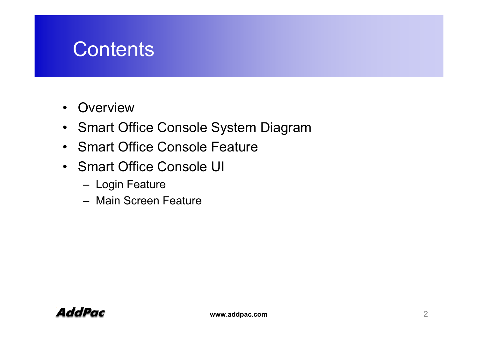#### **Contents**

- $\bullet$ **Overview**
- Smart Office Console System Diagram
- Smart Office Console Feature
- Smart Office Console UI
	- Login Feature
	- Main Screen Feature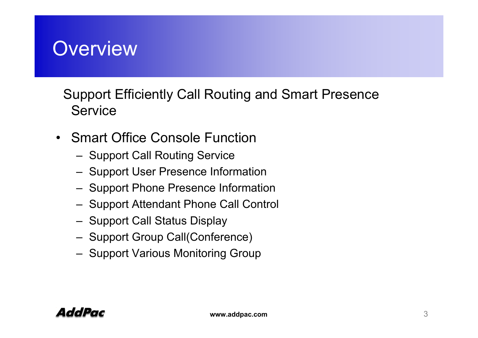#### **Overview**

Support Efficiently Call Routing and Smart Presence **Service** 

- Smart Office Console Function
	- Support Call Routing Service
	- Support User Presence Information
	- Support Phone Presence Information
	- Support Attendant Phone Call Control
	- Support Call Status Display
	- Support Group Call(Conference)
	- Support Various Monitoring Group

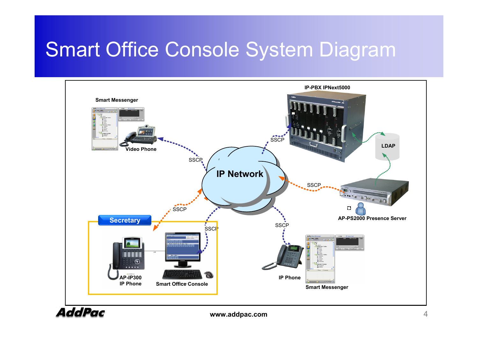## Smart Office Console System Diagram



**AddPac**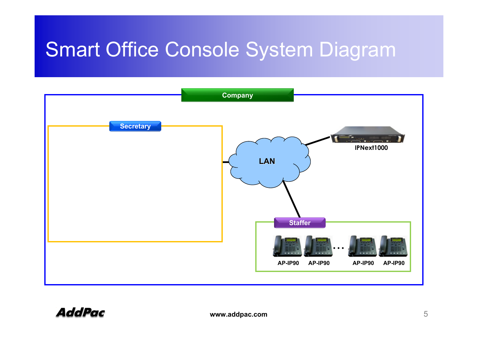## Smart Office Console System Diagram

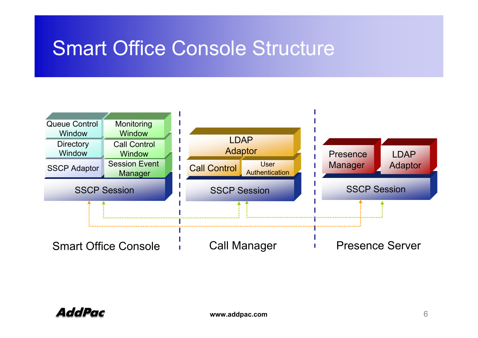#### Smart Office Console Structure

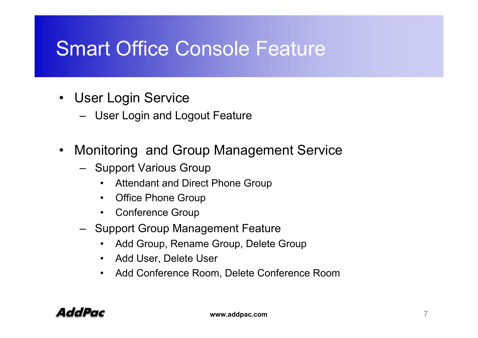## Smart Office Console Feature

- User Login Service
	- User Login and Logout Feature
- $\bullet$  Monitoring and Group Management Service
	- Support Various Group
		- $\bullet$ Attendant and Direct Phone Group
		- $\bullet$ Office Phone Group
		- $\bullet$ Conference Group
	- Support Group Management Feature
		- $\bullet$ Add Group, Rename Group, Delete Group
		- Add User, Delete User
		- •Add Conference Room, Delete Conference Room

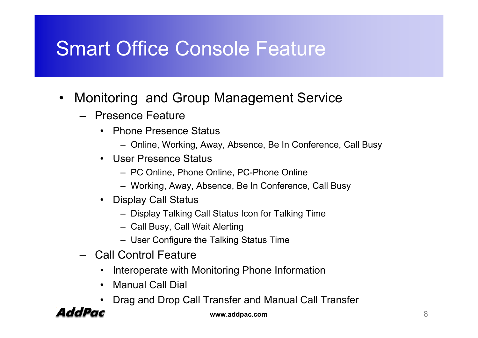## Smart Office Console Feature

- $\bullet$  Monitoring and Group Management Service
	- Presence Feature
		- Phone Presence Status
			- Online, Working, Away, Absence, Be In Conference, Call Busy
		- User Presence Status
			- PC Online, Phone Online, PC-Phone Online
			- Working, Away, Absence, Be In Conference, Call Busy
		- Display Call Status
			- Display Talking Call Status Icon for Talking Time
			- Call Busy, Call Wait Alerting
			- User Configure the Talking Status Time
	- Call Control Feature
		- $\bullet$ Interoperate with Monitoring Phone Information
		- •Manual Call Dial
		- •Drag and Drop Call Transfer and Manual Call Transfer



**www.addpac.com** 8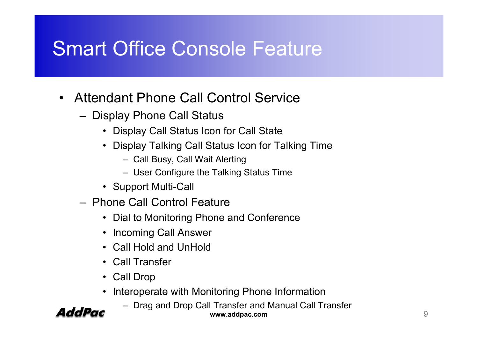## Smart Office Console Feature

- Attendant Phone Call Control Service
	- Display Phone Call Status
		- Display Call Status Icon for Call State
		- Display Talking Call Status Icon for Talking Time
			- Call Busy, Call Wait Alerting
			- User Configure the Talking Status Time
		- Support Multi-Call
	- Phone Call Control Feature
		- Dial to Monitoring Phone and Conference
		- Incoming Call Answer
		- Call Hold and UnHold
		- Call Transfer
		- Call Drop
		- Interoperate with Monitoring Phone Information
			- Drag and Drop Call Transfer and Manual Call Transfer

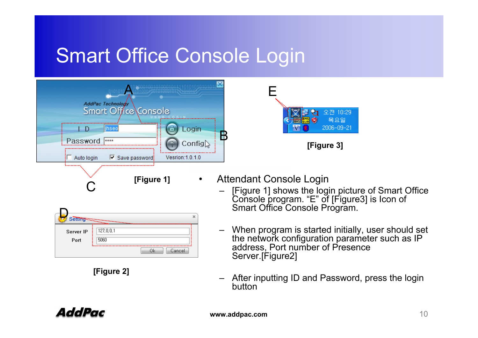#### Smart Office Console Login







**[Figure 3]**

- Attendant Console Login
	- [Figure 1] shows the login picture of Smart Office Console program. "E" of [Figure3] is Icon of Smart Office Console Program.
	- When program is started initially, user should set the network configuration parameter such as IP address, Port number of Presence Server.[Figure2]
	- After inputting ID and Password, press the login button

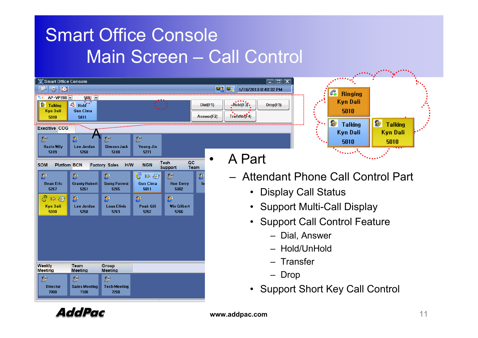#### Smart Office ConsoleMain Screen – Call Control





**www.addpac.com** 11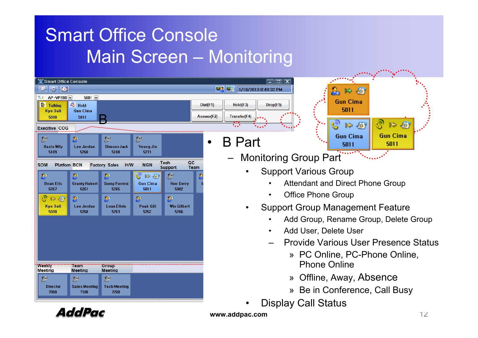## Smart Office Console Main Screen – Monitoring

| Smart Office Console                                         |                            |                                    |                  |                                             |                                          | $\Box$ $\Box$ $\times$ |                                             |                 |
|--------------------------------------------------------------|----------------------------|------------------------------------|------------------|---------------------------------------------|------------------------------------------|------------------------|---------------------------------------------|-----------------|
| $\circ$ $\circ$                                              |                            |                                    |                  |                                             | $\mathcal{L}$ $\mathcal{L}_{\alpha}$     | 1/18/2010 8:40:32 PM   | è.                                          |                 |
| AP-VP280 $\sim$                                              | 5001 $\sim$                |                                    |                  |                                             |                                          |                        | <b>Gun Cima</b>                             |                 |
| <b>6</b> Hold<br>8<br>Talking<br><b>Gun Cima</b><br>Kyn Dali |                            |                                    |                  |                                             | Dial(F1)<br>Hold(F3)<br>Drop(F5)<br>5011 |                        |                                             |                 |
| 5010                                                         | 5011                       |                                    |                  |                                             | Answer(F2)<br>Transfer(F4)               |                        |                                             |                 |
| <b>Execitive COG</b>                                         |                            |                                    |                  |                                             | ∵∙                                       |                        | ಳಿ<br>$\mathbb{R}$ (c)                      | $\mathbb{R}$ /d |
| $2^{\circ}$                                                  | g                          | $\mathbb{R}^n$                     | $2^{\circ}$      |                                             |                                          |                        | <b>Gun Cima</b>                             | <b>Gun Cima</b> |
| <b>Hazis Wily</b>                                            | Lee Jordan                 | <b>Simson Jack</b>                 | <b>Young Jin</b> |                                             | <b>B</b> Part<br>$\bullet$               |                        | 5011                                        | 5011            |
| 5109                                                         | 5268                       | 5108                               | 5271             |                                             |                                          |                        | <b>Monitoring Group Part</b>                |                 |
| <b>Platfom BCN</b><br><b>SOM</b>                             |                            | <b>Factory Sales</b><br><b>H/W</b> | <b>NGN</b>       | QC<br>Tech<br><b>Support</b><br><b>Team</b> |                                          |                        |                                             |                 |
| æ                                                            | æ                          | $\mathbf{e}$                       | S l≎ ⁄or         | $\mathbb{S}^n$                              |                                          |                        | <b>Support Various Group</b>                |                 |
| <b>Bean Eric</b>                                             | <b>Granty Hubert</b>       | <b>Gump Forrest</b>                | <b>Gun Cima</b>  | <b>Hue Derry</b>                            |                                          |                        | <b>Attendant and Direct Phone Group</b>     |                 |
| 5267                                                         | 5261                       | 5265                               | 5011             | 5002                                        |                                          | $\bullet$              | <b>Office Phone Group</b>                   |                 |
| ್<br>$R = \sqrt{G}$<br><b>Kyn Dali</b>                       | $\mathbf{g}$<br>Lee Jordan | $\mathbf{g}$<br><b>Loan Elivis</b> | g<br>Peak Gili   | $\mathbf{g}$<br><b>Win Gilbert</b>          |                                          |                        |                                             |                 |
| 5010                                                         | 5268                       | 5263                               | 5262             | 5266                                        | $\bullet$                                |                        | <b>Support Group Management Feature</b>     |                 |
|                                                              |                            |                                    |                  |                                             |                                          |                        | Add Group, Rename Group, Delete Group       |                 |
|                                                              |                            |                                    |                  |                                             |                                          | $\bullet$              | Add User, Delete User                       |                 |
|                                                              |                            |                                    |                  |                                             |                                          |                        | <b>Provide Various User Presence Status</b> |                 |
|                                                              |                            |                                    |                  |                                             |                                          |                        |                                             |                 |
|                                                              |                            |                                    |                  |                                             |                                          |                        | » PC Online, PC-Phone Online,               |                 |
| <b>Weekly</b><br><b>Meeting</b>                              | Team<br><b>Meeting</b>     | 'Group'<br><b>Meeting</b>          |                  |                                             |                                          |                        | <b>Phone Online</b>                         |                 |
| $\mathbb{S}^v$                                               | $\mathcal{C}$              | $\mathbb{S}^n$                     |                  |                                             |                                          |                        | » Offline, Away, Absence                    |                 |
| <b>Director</b>                                              | <b>Sales Meeting</b>       | <b>Tech Meeting</b>                |                  |                                             |                                          |                        | » Be in Conference, Call Busy               |                 |
| 7800                                                         | 7100                       | 7200                               |                  |                                             |                                          |                        |                                             |                 |
|                                                              |                            |                                    |                  |                                             |                                          |                        | <b>Display Call Status</b>                  |                 |



**www.addpac.com** 12

antina antina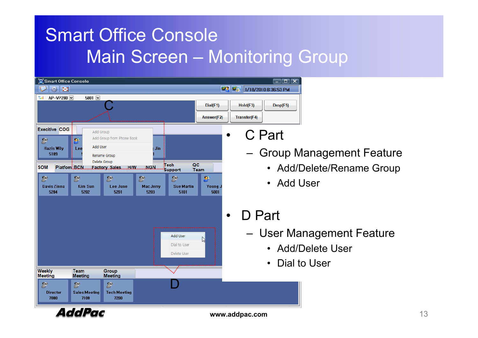#### Smart Office Console Main Screen – Monitoring Group

| Smart Office Console<br>533<br>G)            |                                                |                                               |                                     |                                          |                                 | $\mathcal{A}$ $\mathcal{A}$ | $\Box$ g             |
|----------------------------------------------|------------------------------------------------|-----------------------------------------------|-------------------------------------|------------------------------------------|---------------------------------|-----------------------------|----------------------|
| <b>Yail</b><br>AP-VP280                      | 5001 $\boxed{\sim}$                            |                                               |                                     |                                          |                                 |                             | 1/18/2010 8:36:53 PM |
|                                              |                                                |                                               |                                     |                                          | Dial(F1)                        | Hold(F3)                    | Drop(F5)             |
|                                              |                                                |                                               |                                     |                                          | Answer(F2)                      | Transfer(F4)                |                      |
| <b>Execitive COG</b>                         | Add Group                                      |                                               |                                     |                                          |                                 |                             |                      |
| $\mathbb{S}^n$                               | $\mathbf{g}$                                   | Add Group from Phone Book                     |                                     |                                          |                                 |                             | C Part               |
| <b>Hazis Wily</b><br>5109                    | <b>Add User</b><br>Lee                         | Rename Group                                  | Jin                                 |                                          |                                 |                             | - Group              |
| <b>SOM</b>                                   | Platfom: BCN                                   | Delete Group<br>.FactorySalesH/WNGN.          |                                     | <b>Tech</b><br><b>Support</b>            | QC<br><b>Team</b>               |                             |                      |
| $\mathbb{S}^n$<br><b>Davis Zinna</b><br>5204 | $\mathbb{S}^n$<br><b>Kim Sun</b><br>5202       | $2^{\circ}$<br>Lee June<br>5201               | $\mathbb{S}^n$<br>Mac Jerry<br>5203 | $2^{\circ}$<br><b>Sue Martin</b><br>5101 | $\mathbf{e}$<br>Young J<br>5001 |                             | • Add<br>• Add       |
|                                              |                                                |                                               |                                     |                                          |                                 | D Part                      |                      |
|                                              |                                                |                                               |                                     |                                          |                                 |                             | - User M             |
|                                              |                                                |                                               |                                     | Add User                                 | Ņ                               |                             |                      |
|                                              |                                                |                                               |                                     | Dial to User<br>Delete User              |                                 |                             | Add                  |
|                                              |                                                |                                               |                                     |                                          |                                 |                             | Dial                 |
| Weekly<br><b>Meeting</b>                     | Team<br><b>Meeting</b>                         | Group<br><b>Meeting</b>                       |                                     |                                          |                                 |                             |                      |
| $\mathbf{e}$<br><b>Director</b><br>7800      | $\mathbb{R}^n$<br><b>Sales Meeting</b><br>7100 | $\mathbb{S}^n$<br><b>Tech Meeting</b><br>7200 |                                     |                                          |                                 |                             |                      |
|                                              | ,,,<br>п.                                      |                                               |                                     |                                          |                                 |                             |                      |

- **Management Feature** 
	- d/Delete/Rename Group
	- User

- **Management Feature** 
	- Add/Delete User
	- to User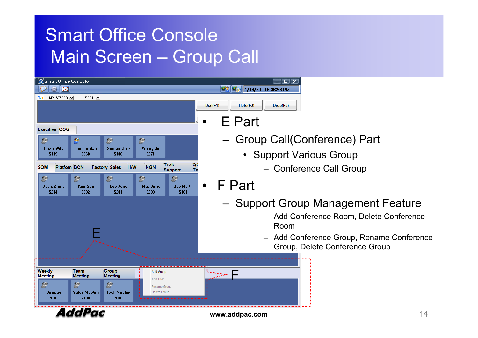## Smart Office Console Main Screen – Group Call

| Smart Office Console                         |                                                |                                               |                                                                                    |                             |          | $\Box$ $\Box$ $\times$ |                                           |
|----------------------------------------------|------------------------------------------------|-----------------------------------------------|------------------------------------------------------------------------------------|-----------------------------|----------|------------------------|-------------------------------------------|
| ۸<br>B                                       |                                                |                                               |                                                                                    | $\mathcal{A}$ $\mathcal{A}$ |          | 1/18/2010 8:36:53 PM   |                                           |
| AP-VP280                                     | 5001 $\boxed{\sim}$                            |                                               |                                                                                    | Dial(F1)                    | Hold(F3) | Drop(F5)               |                                           |
| <b>Execitive COG</b>                         |                                                |                                               |                                                                                    |                             | E Part   |                        |                                           |
| $\mathbb{S}^v$<br><b>Hazis Wily</b>          | $\mathbf{g}$<br>Lee Jordan                     | $\mathbb{S}^n$<br><b>Simson Jack</b>          | $\mathbb{S}^n$<br><b>Young Jin</b>                                                 |                             |          |                        | - Group Call(Conference) Part             |
| 5109                                         | 5268                                           | 5108                                          | 5271                                                                               |                             |          |                        | • Support Various Group                   |
| <b>SOM</b>                                   | <b>Platfom BCN</b>                             | <b>Factory Sales</b><br><b>H/W</b>            | Tech<br>QC<br><b>NGN</b><br><b>Support</b><br>Te                                   |                             |          |                        | - Conference Call Group                   |
| $\mathbb{S}^n$<br><b>Davis Zinna</b><br>5204 | $2^{\circ}$<br><b>Kim Sun</b><br>5202          | $\mathbb{R}^n$<br>Lee June<br>5201            | $\mathbb{S}^n$<br>$\mathbb{S}^n$<br><b>Sue Martin</b><br>Mac Jerry<br>5203<br>5101 | F Part                      |          |                        |                                           |
|                                              |                                                |                                               |                                                                                    |                             |          |                        | - Support Group Management Feature        |
|                                              |                                                |                                               |                                                                                    |                             |          | Room                   | - Add Conference Room, Delete Conference  |
|                                              | E                                              |                                               |                                                                                    |                             |          |                        | - Add Conference Group, Rename Conference |
|                                              |                                                |                                               |                                                                                    |                             |          |                        | Group, Delete Conference Group            |
|                                              |                                                |                                               |                                                                                    |                             |          |                        |                                           |
| Weekly<br><b>Meeting</b>                     | <b>Team</b><br><b>Meeting</b>                  | Group<br><b>Meeting</b>                       | Add Group<br>Add User                                                              | hannongar<br>Sanah          |          |                        |                                           |
| $\mathbb{S}^n$<br><b>Director</b><br>7800    | $\mathbb{S}^n$<br><b>Sales Meeting</b><br>7100 | $\mathbb{S}^n$<br><b>Tech Meeting</b><br>7200 | Rename Group<br>Delete Group                                                       |                             |          |                        |                                           |
|                                              |                                                |                                               |                                                                                    |                             |          |                        |                                           |